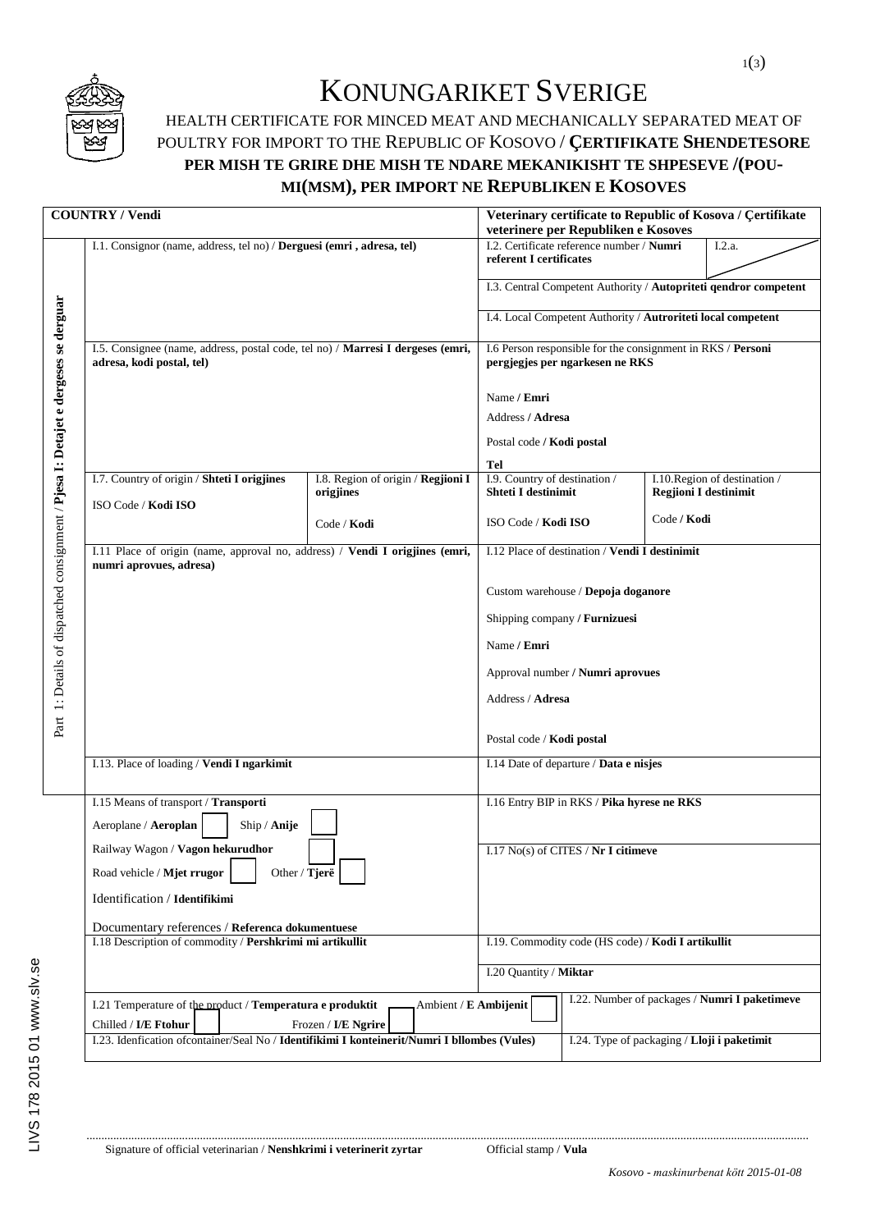

## KONUNGARIKET SVERIGE

## HEALTH CERTIFICATE FOR MINCED MEAT AND MECHANICALLY SEPARATED MEAT OF POULTRY FOR IMPORT TO THE REPUBLIC OF KOSOVO / **ÇERTIFIKATE SHENDETESORE PER MISH TE GRIRE DHE MISH TE NDARE MEKANIKISHT TE SHPESEVE /(POU-MI(MSM), PER IMPORT NE REPUBLIKEN E KOSOVES**

|                                                                                    | <b>COUNTRY / Vendi</b>                                                                                                                       |                                                                                                |                                                             | Veterinary certificate to Republic of Kosova / Çertifikate<br>veterinere per Republiken e Kosoves              |             |  |  |  |
|------------------------------------------------------------------------------------|----------------------------------------------------------------------------------------------------------------------------------------------|------------------------------------------------------------------------------------------------|-------------------------------------------------------------|----------------------------------------------------------------------------------------------------------------|-------------|--|--|--|
|                                                                                    | I.1. Consignor (name, address, tel no) / Derguesi (emri, adresa, tel)                                                                        | I.2. Certificate reference number / Numri<br>I.2.a.<br>referent I certificates                 |                                                             |                                                                                                                |             |  |  |  |
|                                                                                    |                                                                                                                                              | I.3. Central Competent Authority / Autopriteti qendror competent                               |                                                             |                                                                                                                |             |  |  |  |
|                                                                                    |                                                                                                                                              | I.4. Local Competent Authority / Autroriteti local competent                                   |                                                             |                                                                                                                |             |  |  |  |
| Part 1: Details of dispatched consignment / Pjesa I: Detajet e dergeses se derguar | I.5. Consignee (name, address, postal code, tel no) / Marresi I dergeses (emri,<br>adresa, kodi postal, tel)                                 | I.6 Person responsible for the consignment in RKS / Personi<br>pergjegjes per ngarkesen ne RKS |                                                             |                                                                                                                |             |  |  |  |
|                                                                                    |                                                                                                                                              |                                                                                                | Name / Emri                                                 |                                                                                                                |             |  |  |  |
|                                                                                    |                                                                                                                                              |                                                                                                | Address / Adresa                                            |                                                                                                                |             |  |  |  |
|                                                                                    |                                                                                                                                              |                                                                                                | Postal code / Kodi postal                                   |                                                                                                                |             |  |  |  |
|                                                                                    |                                                                                                                                              |                                                                                                | Tel                                                         |                                                                                                                |             |  |  |  |
|                                                                                    | I.7. Country of origin / Shteti I origjines                                                                                                  | I.8. Region of origin / Regjioni I<br>origjines                                                |                                                             | I.9. Country of destination /<br>I.10. Region of destination /<br>Shteti I destinimit<br>Regjioni I destinimit |             |  |  |  |
|                                                                                    | ISO Code / Kodi ISO                                                                                                                          | Code / Kodi                                                                                    | ISO Code / Kodi ISO                                         |                                                                                                                | Code / Kodi |  |  |  |
|                                                                                    | I.11 Place of origin (name, approval no, address) / Vendi I origjines (emri,<br>numri aprovues, adresa)                                      |                                                                                                |                                                             | I.12 Place of destination / Vendi I destinimit                                                                 |             |  |  |  |
|                                                                                    |                                                                                                                                              |                                                                                                |                                                             |                                                                                                                |             |  |  |  |
|                                                                                    |                                                                                                                                              |                                                                                                | Custom warehouse / Depoja doganore                          |                                                                                                                |             |  |  |  |
|                                                                                    |                                                                                                                                              |                                                                                                | Shipping company / Furnizuesi                               |                                                                                                                |             |  |  |  |
|                                                                                    |                                                                                                                                              |                                                                                                | Name / Emri<br>Approval number / <b>Numri aprovues</b>      |                                                                                                                |             |  |  |  |
|                                                                                    |                                                                                                                                              |                                                                                                |                                                             |                                                                                                                |             |  |  |  |
|                                                                                    |                                                                                                                                              |                                                                                                | Address / Adresa                                            |                                                                                                                |             |  |  |  |
|                                                                                    |                                                                                                                                              | Postal code / <b>Kodi postal</b>                                                               |                                                             |                                                                                                                |             |  |  |  |
|                                                                                    | I.13. Place of loading / Vendi I ngarkimit                                                                                                   |                                                                                                | I.14 Date of departure / Data e nisjes                      |                                                                                                                |             |  |  |  |
|                                                                                    | I.15 Means of transport / Transporti                                                                                                         |                                                                                                | I.16 Entry BIP in RKS / Pika hyrese ne RKS                  |                                                                                                                |             |  |  |  |
|                                                                                    | Aeroplane / Aeroplan<br>Ship / Anije<br>Railway Wagon / Vagon hekurudhor                                                                     |                                                                                                |                                                             |                                                                                                                |             |  |  |  |
|                                                                                    |                                                                                                                                              |                                                                                                | $1.17$ $\mathrm{No(s)}$ of CITES / $\mathrm{Nr}$ I citimeve |                                                                                                                |             |  |  |  |
|                                                                                    | Other / Tjerë<br>Road vehicle / Mjet rrugor                                                                                                  |                                                                                                |                                                             |                                                                                                                |             |  |  |  |
|                                                                                    | Identification / Identifikimi                                                                                                                |                                                                                                |                                                             |                                                                                                                |             |  |  |  |
|                                                                                    | Documentary references / Referenca dokumentuese                                                                                              |                                                                                                |                                                             |                                                                                                                |             |  |  |  |
|                                                                                    | I.18 Description of commodity / Pershkrimi mi artikullit                                                                                     |                                                                                                | I.19. Commodity code (HS code) / Kodi I artikullit          |                                                                                                                |             |  |  |  |
|                                                                                    |                                                                                                                                              | I.20 Quantity / Miktar                                                                         |                                                             |                                                                                                                |             |  |  |  |
|                                                                                    | I.21 Temperature of the product / Temperatura e produktit                                                                                    | I.22. Number of packages / Numri I paketimeve<br>Ambient / E Ambijenit                         |                                                             |                                                                                                                |             |  |  |  |
|                                                                                    | Chilled / I/E Ftohur<br>Frozen / I/E Ngrire<br>I.23. Idenfication of container/Seal No / Identifikimi I konteinerit/Numri I bllombes (Vules) | I.24. Type of packaging / Lloji i paketimit                                                    |                                                             |                                                                                                                |             |  |  |  |
|                                                                                    |                                                                                                                                              |                                                                                                |                                                             |                                                                                                                |             |  |  |  |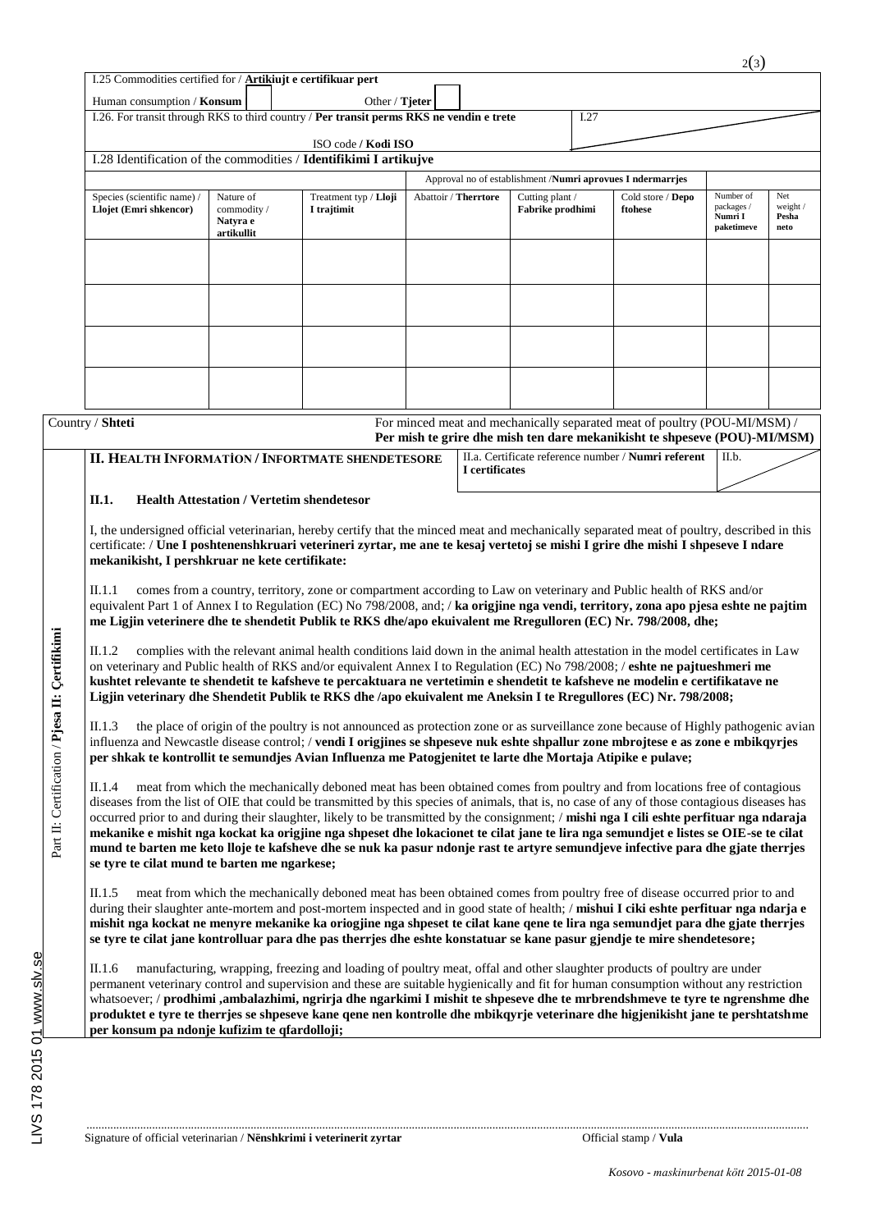| Human consumption / Konsum                                                                                                                                                                                                                                                                                                                                                                                                                                                                                                                                                                                                                                                                                                                                                                                                                                                        |                                                                                          | Other / $Tjeter$                                                                                                                                                                                                                                                                                                                                                                            |                      |                                     |      |                                                                                                                                                        |                                                  |                                  |
|-----------------------------------------------------------------------------------------------------------------------------------------------------------------------------------------------------------------------------------------------------------------------------------------------------------------------------------------------------------------------------------------------------------------------------------------------------------------------------------------------------------------------------------------------------------------------------------------------------------------------------------------------------------------------------------------------------------------------------------------------------------------------------------------------------------------------------------------------------------------------------------|------------------------------------------------------------------------------------------|---------------------------------------------------------------------------------------------------------------------------------------------------------------------------------------------------------------------------------------------------------------------------------------------------------------------------------------------------------------------------------------------|----------------------|-------------------------------------|------|--------------------------------------------------------------------------------------------------------------------------------------------------------|--------------------------------------------------|----------------------------------|
|                                                                                                                                                                                                                                                                                                                                                                                                                                                                                                                                                                                                                                                                                                                                                                                                                                                                                   | I.26. For transit through RKS to third country / Per transit perms RKS ne vendin e trete |                                                                                                                                                                                                                                                                                                                                                                                             |                      |                                     | I.27 |                                                                                                                                                        |                                                  |                                  |
|                                                                                                                                                                                                                                                                                                                                                                                                                                                                                                                                                                                                                                                                                                                                                                                                                                                                                   |                                                                                          | ISO code / Kodi ISO                                                                                                                                                                                                                                                                                                                                                                         |                      |                                     |      |                                                                                                                                                        |                                                  |                                  |
|                                                                                                                                                                                                                                                                                                                                                                                                                                                                                                                                                                                                                                                                                                                                                                                                                                                                                   |                                                                                          | I.28 Identification of the commodities / Identifikimi I artikujve                                                                                                                                                                                                                                                                                                                           |                      |                                     |      |                                                                                                                                                        |                                                  |                                  |
|                                                                                                                                                                                                                                                                                                                                                                                                                                                                                                                                                                                                                                                                                                                                                                                                                                                                                   |                                                                                          |                                                                                                                                                                                                                                                                                                                                                                                             |                      |                                     |      | Approval no of establishment /Numri aprovues I ndermarrjes                                                                                             |                                                  |                                  |
| Species (scientific name) /<br>Llojet (Emri shkencor)                                                                                                                                                                                                                                                                                                                                                                                                                                                                                                                                                                                                                                                                                                                                                                                                                             | Nature of<br>commodity/<br>Natyra e<br>artikullit                                        | Treatment typ / Lloji<br>I trajtimit                                                                                                                                                                                                                                                                                                                                                        | Abattoir / Therrtore | Cutting plant /<br>Fabrike prodhimi |      | Cold store / Depo<br>ftohese                                                                                                                           | Number of<br>packages /<br>Numri I<br>paketimeve | Net<br>weight /<br>Pesha<br>neto |
|                                                                                                                                                                                                                                                                                                                                                                                                                                                                                                                                                                                                                                                                                                                                                                                                                                                                                   |                                                                                          |                                                                                                                                                                                                                                                                                                                                                                                             |                      |                                     |      |                                                                                                                                                        |                                                  |                                  |
| Country / Shteti                                                                                                                                                                                                                                                                                                                                                                                                                                                                                                                                                                                                                                                                                                                                                                                                                                                                  |                                                                                          |                                                                                                                                                                                                                                                                                                                                                                                             |                      |                                     |      | For minced meat and mechanically separated meat of poultry (POU-MI/MSM) /<br>Per mish te grire dhe mish ten dare mekanikisht te shpeseve (POU)-MI/MSM) |                                                  |                                  |
| <b>II. HEALTH INFORMATION / INFORTMATE SHENDETESORE</b>                                                                                                                                                                                                                                                                                                                                                                                                                                                                                                                                                                                                                                                                                                                                                                                                                           |                                                                                          |                                                                                                                                                                                                                                                                                                                                                                                             | I certificates       |                                     |      | II.a. Certificate reference number / Numri referent                                                                                                    | II.b.                                            |                                  |
| II.1.<br>I, the undersigned official veterinarian, hereby certify that the minced meat and mechanically separated meat of poultry, described in this<br>certificate: / Une I poshtenenshkruari veterineri zyrtar, me ane te kesaj vertetoj se mishi I grire dhe mishi I shpeseve I ndare<br>mekanikisht, I pershkruar ne kete certifikate:                                                                                                                                                                                                                                                                                                                                                                                                                                                                                                                                        | <b>Health Attestation / Vertetim shendetesor</b>                                         |                                                                                                                                                                                                                                                                                                                                                                                             |                      |                                     |      |                                                                                                                                                        |                                                  |                                  |
| II.1.1<br>equivalent Part 1 of Annex I to Regulation (EC) No 798/2008, and; / ka origjine nga vendi, territory, zona apo pjesa eshte ne pajtim<br>me Ligjin veterinere dhe te shendetit Publik te RKS dhe/apo ekuivalent me Rregulloren (EC) Nr. 798/2008, dhe;<br>II.1.2<br>on veterinary and Public health of RKS and/or equivalent Annex I to Regulation (EC) No 798/2008; / eshte ne pajtueshmeri me<br>kushtet relevante te shendetit te kafsheve te percaktuara ne vertetimin e shendetit te kafsheve ne modelin e certifikatave ne<br>Ligjin veterinary dhe Shendetit Publik te RKS dhe /apo ekuivalent me Aneksin I te Rregullores (EC) Nr. 798/2008;<br>II.1.3                                                                                                                                                                                                           |                                                                                          | comes from a country, territory, zone or compartment according to Law on veterinary and Public health of RKS and/or<br>complies with the relevant animal health conditions laid down in the animal health attestation in the model certificates in Law<br>the place of origin of the poultry is not announced as protection zone or as surveillance zone because of Highly pathogenic avian |                      |                                     |      |                                                                                                                                                        |                                                  |                                  |
| influenza and Newcastle disease control; / vendi I origjines se shpeseve nuk eshte shpallur zone mbrojtese e as zone e mbikqyrjes<br>per shkak te kontrollit te semundjes Avian Influenza me Patogjenitet te larte dhe Mortaja Atipike e pulave;<br>II.1.4<br>diseases from the list of OIE that could be transmitted by this species of animals, that is, no case of any of those contagious diseases has<br>occurred prior to and during their slaughter, likely to be transmitted by the consignment; / mishi nga I cili eshte perfituar nga ndaraja<br>mekanike e mishit nga kockat ka origjine nga shpeset dhe lokacionet te cilat jane te lira nga semundjet e listes se OIE-se te cilat<br>mund te barten me keto lloje te kafsheve dhe se nuk ka pasur ndonje rast te artyre semundjeve infective para dhe gjate therrjes<br>se tyre te cilat mund te barten me ngarkese; |                                                                                          | meat from which the mechanically deboned meat has been obtained comes from poultry and from locations free of contagious                                                                                                                                                                                                                                                                    |                      |                                     |      |                                                                                                                                                        |                                                  |                                  |
| II.1.5<br>during their slaughter ante-mortem and post-mortem inspected and in good state of health; / mishui I ciki eshte perfituar nga ndarja e<br>mishit nga kockat ne menyre mekanike ka oriogjine nga shpeset te cilat kane qene te lira nga semundjet para dhe gjate therrjes<br>se tyre te cilat jane kontrolluar para dhe pas therrjes dhe eshte konstatuar se kane pasur gjendje te mire shendetesore;<br>II.1.6<br>permanent veterinary control and supervision and these are suitable hygienically and fit for human consumption without any restriction                                                                                                                                                                                                                                                                                                                |                                                                                          | meat from which the mechanically deboned meat has been obtained comes from poultry free of disease occurred prior to and<br>manufacturing, wrapping, freezing and loading of poultry meat, offal and other slaughter products of poultry are under                                                                                                                                          |                      |                                     |      |                                                                                                                                                        |                                                  |                                  |

01 www.slv.se